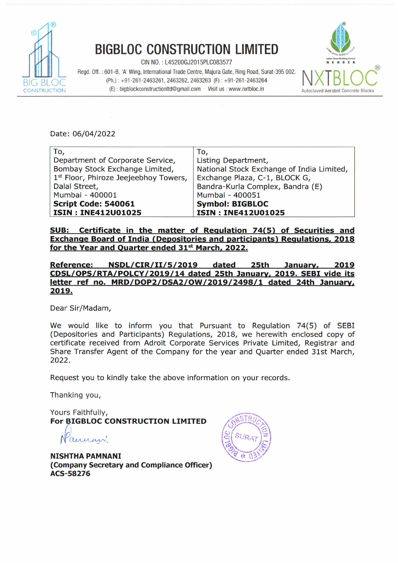

## BIGBLOC CONSTRUCTION LIMITED **<sup>9</sup>**

 $CIN NO. : L45200GJ2015PLCO83577$ 

Regd. Off.: 601-B, 'A' Wing, International Trade Centre, Majura Gate, Ring Road, Surat-395 002. **(Ph.)** : +91-261-2463261,2463262,2463263 (F) : +91-261-2463264 **(E)** : bigblockconstructionItd@gmail.com Visit us : www.nxtbloc.in



Date: 06/04/2022

| To,                                   | To,                                       |
|---------------------------------------|-------------------------------------------|
| Department of Corporate Service,      | Listing Department,                       |
| Bombay Stock Exchange Limited,        | National Stock Exchange of India Limited, |
| 1st Floor, Phiroze Jeejeebhoy Towers, | Exchange Plaza, C-1, BLOCK G,             |
| Dalal Street,                         | Bandra-Kurla Complex, Bandra (E)          |
| Mumbai - 400001                       | Mumbai - 400051                           |
| Script Code: 540061                   | <b>Symbol: BIGBLOC</b>                    |
| <b>ISIN: INE412U01025</b>             | <b>ISIN: INE412U01025</b>                 |

SUB: Certificate in the matter of Regulation 74(5) of Securities and Exchange Board of India (Depositories and participants) Regulations, 2018 for the Year and Quarter ended 31<sup>st</sup> March, 2022.

Reference: NSDL/CIR/II/5/2019 dated 25th Januarv, 2019 **CDSL/OPS/RTA/POLCY/2019/14** dated 25th Januarv. 2019. SEBI vide its letter ref no. **MRD/DOP2/DSA2/0W/2019/2498/1** dated 24th Januarv, 2019.

Dear Sir/Madam,

We would like to inform you that Pursuant to Regulation **74(5)** of SEBI (Depositories and Participants) Regulations, 2018, we herewith enclosed copy of certificate received from Adroit Corporate Services Private Limited, Registrar and Share Transfer Agent of the Company for the year and Quarter ended 31st March, 2022.

Request you to kindly take the above information on your records.

Thanking you,

Yours Faithfully, **For BIGBLOC CONSTRUCTION LIMITED** 

aument

**NISHTHA PAMNANI**  (Company Secretary and Compliance Officer) ACS-58276